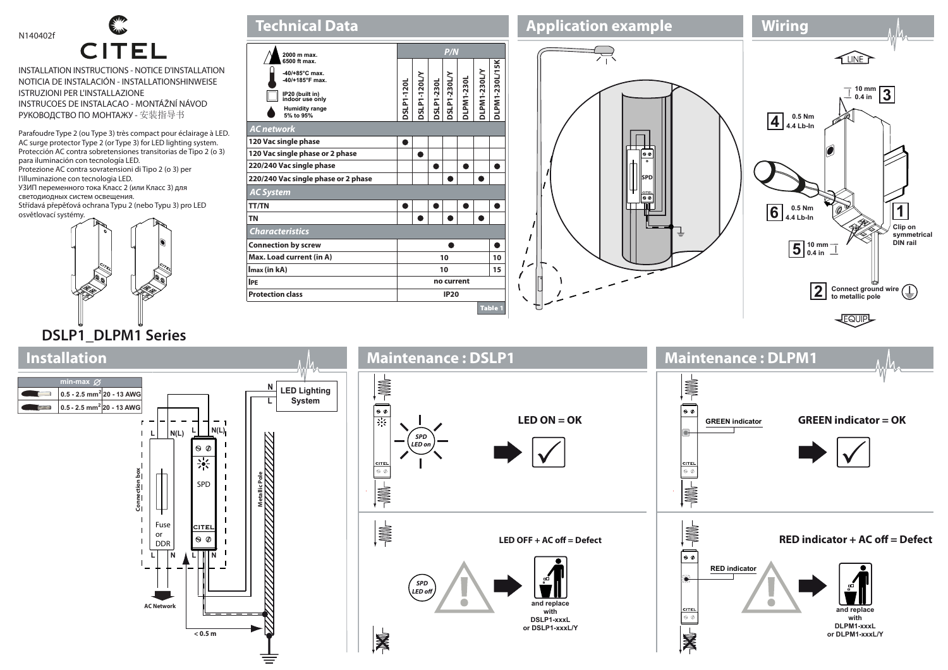

## **CITEL**

INSTALLATION INSTRUCTIONS - NOTICE D'INSTALLATION NOTICIA DE INSTALACIÓN - INSTALLATIONSHINWEISE ISTRUZIONI PER L'INSTALLAZIONE INSTRUCOES DE INSTALACAO - MONTÁŽNÍ NÁVOD РУКОВОДСТВО ПО МОНТАЖУ - 安装指导书

Parafoudre Type 2 (ou Type 3) très compact pour éclairage à LED. AC surge protector Type 2 (or Type 3) for LED lighting system. Protección AC contra sobretensiones transitorias de Tipo 2 (o 3) para iluminación con tecnología LED. Protezione AC contra sovratensioni di Tipo 2 (o 3) per l'illuminazione con tecnologia LED. УЗИП переменного тока Класс 2 (или Класс 3) для светодиодных систем освещения. Střídavá přepěťová ochrana Typu 2 (nebo Typu 3) pro LED osvětlovací systémy.



| <b>Technical Data</b>                                                                                                           |           |              |                   |              |                   |              |                       |
|---------------------------------------------------------------------------------------------------------------------------------|-----------|--------------|-------------------|--------------|-------------------|--------------|-----------------------|
| 2000 m max.                                                                                                                     | P/N       |              |                   |              |                   |              |                       |
| 6500 ft max.<br>$-40/+85°C$ max.<br>-40/+185°F max.<br>IP20 (built in)<br>indoor use only<br><b>Humidity range</b><br>5% to 95% | SLP1-120L | DSLP1-120L/Y | <b>J0EZ-LdTSC</b> | DSLP1-230L/Y | <b>JLPM1-230L</b> | DLPM1-230L/Y | <b>DLPM1-230L/15K</b> |
| AC network<br>120 Vac single phase                                                                                              |           |              |                   |              |                   |              |                       |
| 120 Vac single phase or 2 phase                                                                                                 |           |              |                   |              |                   |              |                       |
| 220/240 Vac single phase                                                                                                        |           |              |                   |              |                   |              |                       |
| 220/240 Vac single phase or 2 phase                                                                                             |           |              |                   |              |                   |              |                       |
| <b>AC System</b>                                                                                                                |           |              |                   |              |                   |              |                       |
| <b>TT/TN</b>                                                                                                                    |           |              |                   |              |                   |              |                       |
| <b>TN</b>                                                                                                                       |           |              |                   |              |                   |              |                       |
| <b>Characteristics</b>                                                                                                          |           |              |                   |              |                   |              |                       |
| <b>Connection by screw</b>                                                                                                      |           |              |                   |              |                   |              |                       |
| Max. Load current (in A)                                                                                                        |           | 10<br>10     |                   |              |                   |              |                       |
| Imax (in kA)                                                                                                                    |           | 10<br>15     |                   |              |                   |              |                       |
| <b>IPE</b>                                                                                                                      |           | no current   |                   |              |                   |              |                       |
| <b>Protection class</b>                                                                                                         |           | <b>IP20</b>  |                   |              |                   |              |                       |
|                                                                                                                                 |           |              |                   |              |                   |              | <b>Table 1</b>        |





## **Installation Maintenance : DSLP1 Maintenance : DLPM1**  $\frac{1}{\sqrt{2}}$ **A min-max N LED Lighting 0.5 - 2.5 mm2 20 - 13 AWG System L 0.5 - 2.5 mm2 20 - 13 AWG**   $\overline{\bullet}$  $\overline{\bullet}$ 葵 **LED ON = OK GREEN indicator GREEN indicator = OK**  $L$   $N(L)$ **L N(L)**  $\bullet$  $\mathbf{L}$ *SPD*  $\blacksquare$ *LED on*  $\theta$  $\blacksquare$  $\frac{1}{2}$  $\frac{1}{2}$  Connection box **Connection box Metallic Pole** SPD **HILL RING**  $\blacksquare$  $\frac{1}{\sqrt{2}}$ Fuse **A**  $CITF$  $\blacksquare$ or **RED indicator + AC off = Defect**  $\theta$ LED OFF + AC off = Defect  $\blacksquare$ DDR ি∙  $\mathbf{L}$ L | | | N **RED indicator**  *SPD LED o* **and replace AC Network and replace with DSLP1-xxxL with DLPM1-xxxL or DSLP1-xxxL/Y**  $\frac{1}{6}$  < 0.5 m **or DLPM1-xxxL/Y**  $\bar{\mathbf{z}}$ 屠